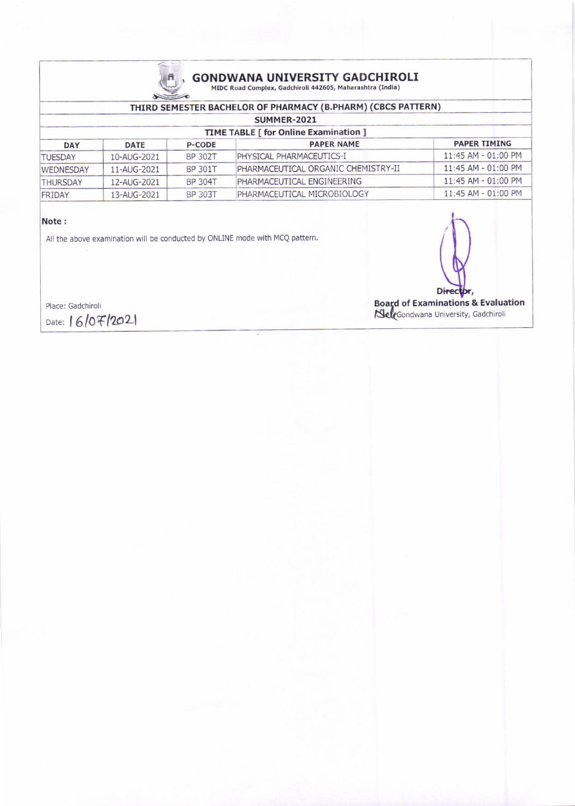

# **GONDWANA UNIVERSITY GADCHIROLI** MIDC Road Complex, Gadchiroli 442605, Maharashtra (India)

### THIRD SEMESTER BACHELOR OF PHARMACY (B.PHARM) (CBCS PATTERN)

| SUMMER-2021                                  |                          |                |                                     |                       |  |  |  |
|----------------------------------------------|--------------------------|----------------|-------------------------------------|-----------------------|--|--|--|
| <b>TIME TABLE [ for Online Examination ]</b> |                          |                |                                     |                       |  |  |  |
| <b>DAY</b>                                   | <b>DATE</b>              | <b>P-CODE</b>  | <b>PAPER NAME</b>                   | <b>PAPER TIMING</b>   |  |  |  |
| <b>TUESDAY</b>                               | 10-AUG-2021              | <b>BP 302T</b> | PHYSICAL PHARMACEUTICS-I            | $11:45$ AM - 01:00 PM |  |  |  |
| <b>WEDNESDAY</b>                             | $11 - \text{AUG} - 2021$ | <b>BP 301T</b> | PHARMACEUTICAL ORGANIC CHEMISTRY-II | $11:45$ AM - 01:00 PM |  |  |  |
| <b>THURSDAY</b>                              | 12-AUG-2021              | BP 304T        | PHARMACEUTICAL ENGINEERING          | $11:45$ AM - 01:00 PM |  |  |  |
| FRIDAY                                       | 13-AUG-2021              | <b>BP 303T</b> | PHARMACEUTICAL MICROBIOLOGY         | $11:45$ AM - 01:00 PM |  |  |  |

#### Note:

All the above examination will be conducted by ONLINE mode with MCQ pattern.

Place: Gadchiroli Date: 16/07/2021

Director, Board of Examinations & Evaluation<br>
SeleGondwana University, Gadchiroli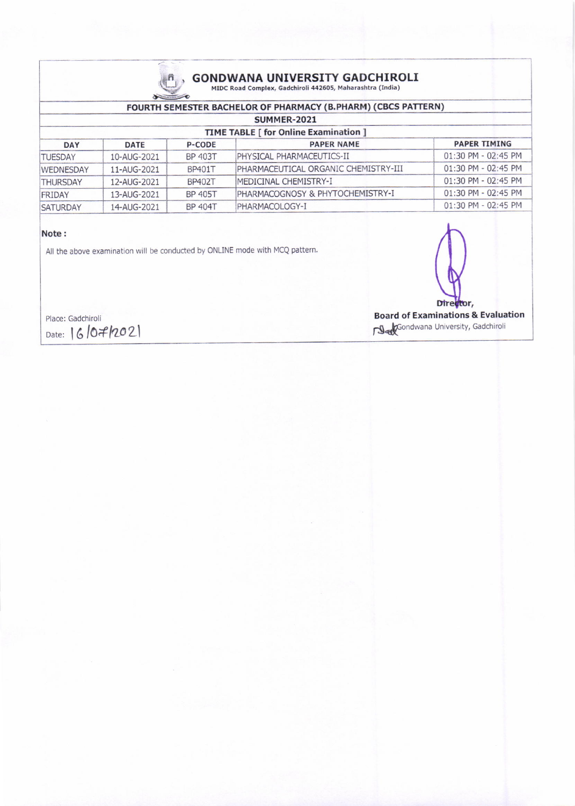

## GONDWANA UNIVERSITY GADCHIROL.<br>MIDC Road Complex, Gadchiroli 442605, Maharashtra (India)

#### FOURTH SEMESTER BACHELOR OF PHARMACY (B.PHARM) (CBCS PATTERN) SUMMER-2021 TIME TABLE [ for Online Examination ]<br>P-CODE PAPER NAME DAY DATE P-CODE PAPER NAME PAPER NAME PAPER TIMING TUESDAY 10-AUG-2021 BP 403T PHYSICAL PHARMACEUTICS-II 01:30 PM - 02:45 PM<br>WEDNESDAY 11-AUG-2021 BP401T PHARMACEUTICAL ORGANIC CHEMISTRY-III 01:30 PM - 02:45 PM WEDNESDAY 11-AUG-2021 BP401T PHARMACEUTICAL ORGANIC CHEMISTRY-III THURSDAY 12-AUG-2021 BP402T MEDICINAL CHEMISTRY-I 01:30 PM - 02:45 PM<br>FRIDAY 13-AUG-2021 BP 405T PHARMACOGNOSY & PHYTOCHEMISTRY-I 01:30 PM - 02:45 PM FRIDAY 13-AUG-2021 BP 405T PHARMACOGNOSY & PHYTOCHEMISTRY-I 01:30 PM - 02:45 PM<br>SATURDAY 14-AUG-2021 BP 404T PHARMACOLOGY-I 01:30 PM - 02:45 PM SATURDAY 14-AUG-2021 BP 404T PHARMACOLOGY-I

#### Note :

All the above examination will be conducted by ONLINE mode with MCQ pattern.

Place: Gadchiroli Date: 16/07/2021

Director,

Board of Examinations & Evaluation Sondwana University, Gadchiroli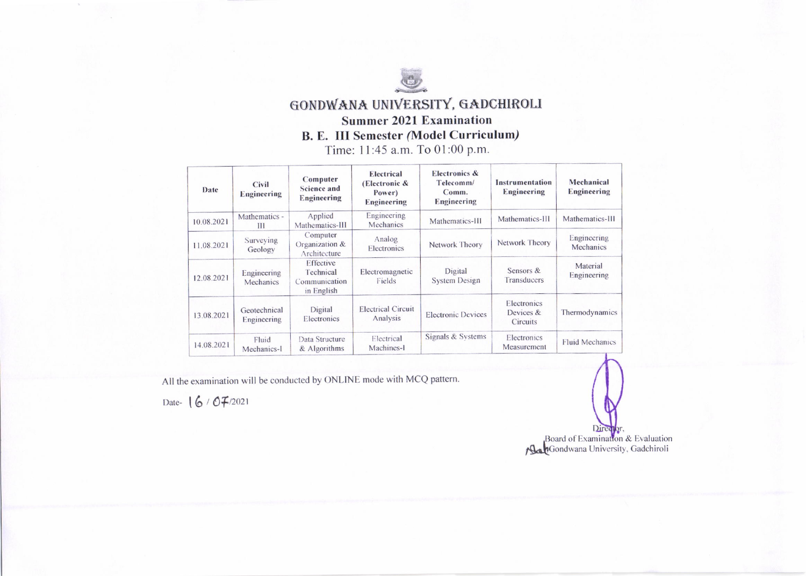

## GONDWANA UNIVERSITY, GADCHIROLI **Summer 2021 Examination B. E. III Semester (Model Curriculum)** Time: 11:45 a.m. To 01:00 p.m.

| Date       | Civil<br><b>Engineering</b> | Computer<br><b>Science and</b><br><b>Engineering</b>  | Electrical<br>(Electronic $\&$<br>Power)<br><b>Engineering</b> | <b>Electronics &amp;</b><br>Telecomm/<br>Comm.<br>Engineering | Instrumentation<br>Engineering       | Mechanical<br>Engineering |
|------------|-----------------------------|-------------------------------------------------------|----------------------------------------------------------------|---------------------------------------------------------------|--------------------------------------|---------------------------|
| 10.08.2021 | Mathematics -<br>Ш          | Applied<br>Mathematics-III                            | Engineering<br>Mechanics                                       | Mathematics-III                                               | Mathematics-III                      | Mathematics-III           |
| 11.08.2021 | Surveying<br>Geology        | Computer<br>Organization &<br>Architecture            | Analog<br>Electronics                                          | Network Theory                                                | Network Theory                       | Engineering<br>Mechanics  |
| 12.08.2021 | Engineering<br>Mechanics    | Effective<br>Technical<br>Communication<br>in English | Electromagnetic<br>Fields                                      | Digital<br><b>System Design</b>                               | Sensors &<br>Transducers             | Material<br>Engineering   |
| 13.08.2021 | Geotechnical<br>Engineering | Digital<br>Electronics                                | <b>Electrical Circuit</b><br>Analysis                          | <b>Electronic Devices</b>                                     | Electronics<br>Devices &<br>Circuits | Thermodynamics            |
| 14.08.2021 | Fluid<br>Mechanics-1        | Data Structure<br>& Algorithms                        | Electrical<br>Machines-1                                       | Signals & Systems                                             | Electronics<br>Measurement           | <b>Fluid Mechanics</b>    |

All the examination will be conducted by ONLINE mode with MCQ pattern.

Date- 16 / 07/2021

Director Board of Examination & Evaluation